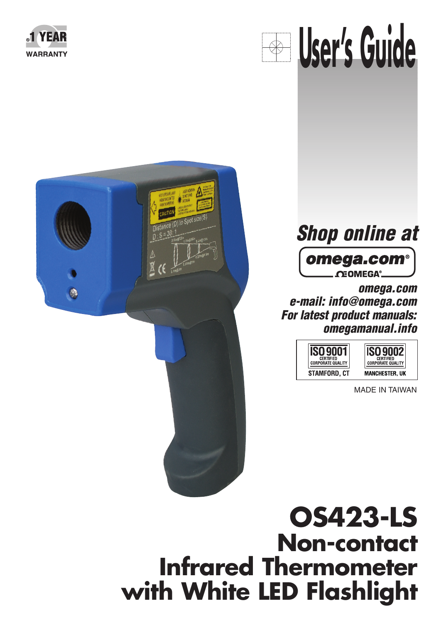









**omega.com e-mail: info@omega.com For latest product manuals: omegamanual.info**

> **ISO 9001** STAMFORD, CT

**ISO 9002** CERTIFIED<br>CORPORATE QUALITY **MANCHESTER, UK** 

MADE IN TAIWAN

# **OS423-LS Non-contact Infrared Thermometer with White LED Flashlight**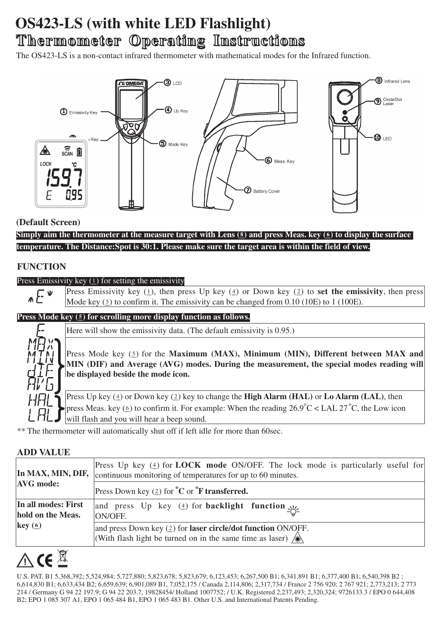# **OS423-LS (with white LED Flashlight) Thermometer hermometer Operating Instructions perating Instructions**

The OS423-LS is a non-contact infrared thermometer with mathematical modes for the Infrared function.



### **(Default Screen)**

**Simply aim the thermometer at the measure target with Lens (\_8) and press Meas. key (\_6) to display the surface temperature. The Distance:Spot is 30:1. Please make sure the target area is within the field of view.**

# **FUNCTION**

#### Press Emissivity key  $(1)$  for setting the emissivity

Press Emissivity key  $(1)$ , then press Up key  $(4)$  or Down key  $(2)$  to set the emissivity, then press  $\wedge E$ Mode key  $(5)$  to confirm it. The emissivity can be changed from 0.10 (10E) to 1 (100E).

#### **Press Mode key (5) for scrolling more display function as follows.**

Here will show the emissivity data. (The default emissivity is 0.95.)

Press Mode key (5) for the **Maximum (MAX), Minimum (MIN), Different between MAX and MIN (DIF) and Average (AVG) modes. During the measurement, the special modes reading will be displayed beside the mode icon.**

Press Up key (4) or Down key (2) key to change the **High Alarm (HAL)** or **Lo Alarm (LAL)**, then press Meas. key ( $\leq$ ) to confirm it. For example: When the reading 26.9°C < LAL 27°C, the Low icon will flash and you will hear a beep sound.

\*\* The thermometer will automatically shut off if left idle for more than 60sec.

#### **ADD VALUE**

| <b>AVG</b> mode:    | Press Up key $(4)$ for <b>LOCK</b> mode ON/OFF. The lock mode is particularly useful for<br>In MAX, MIN, DIF, continuous monitoring of temperatures for up to 60 minutes. |  |  |  |  |
|---------------------|---------------------------------------------------------------------------------------------------------------------------------------------------------------------------|--|--|--|--|
|                     | Press Down key $(2)$ for ${}^{\circ}$ C or ${}^{\circ}$ F transferred.                                                                                                    |  |  |  |  |
| In all modes: First | and press Up key (4) for <b>backlight</b> function $y_1$                                                                                                                  |  |  |  |  |
| hold on the Meas.   | ON/OFF.                                                                                                                                                                   |  |  |  |  |
| key(6)              | and press Down key $(2)$ for <b>laser circle/dot function</b> ON/OFF.<br>(With flash light be turned on in the same time as laser) $\mathcal{H}$                          |  |  |  |  |

# $C\in\overline{\mathbb{Z}}$

U.S. PAT. B1 5,368,392; 5,524,984; 5,727,880; 5,823,678; 5,823,679; 6,123,453; 6,267,500 B1; 6,341,891 B1; 6,377,400 B1; 6,540,398 B2 ; 6,614,830 B1; 6,633,434 B2; 6,659,639; 6,901,089 B1, 7,052,175 / Canada 2,114,806; 2,317,734 / France 2 756 920; 2 767 921; 2,773,213; 2 773 214 / Germany G 94 22 197.9; G 94 22 203.7, 19828454/ Holland 1007752; / U.K. Registered 2,237,493; 2,320,324; 9726133.3 / EPO 0 644,408 B2; EPO 1 085 307 A1, EPO 1 065 484 B1, EPO 1 065 483 B1. Other U.S. and International Patents Pending.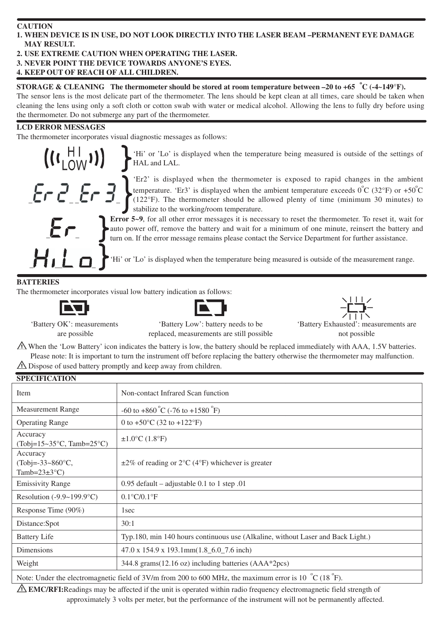#### **CAUTION**

#### **1. WHEN DEVICE IS IN USE, DO NOT LOOK DIRECTLY INTO THE LASER BEAM –PERMANENT EYE DAMAGE MAY RESULT.**

# **2. USE EXTREME CAUTION WHEN OPERATING THE LASER.**

**3. NEVER POINT THE DEVICE TOWARDS ANYONE'S EYES.**

# **4. KEEP OUT OF REACH OF ALL CHILDREN.**

**STORAGE & CLEANING** The thermometer should be stored at room temperature between  $-20$  to  $+65$   $^{\circ}$ C ( $-4$ ~149 $^{\circ}$ F). The sensor lens is the most delicate part of the thermometer. The lens should be kept clean at all times, care should be taken when cleaning the lens using only a soft cloth or cotton swab with water or medical alcohol. Allowing the lens to fully dry before using the thermometer. Do not submerge any part of the thermometer.

#### **LCD ERROR MESSAGES**

The thermometer incorporates visual diagnostic messages as follows:



'Hi' or 'Lo' is displayed when the temperature being measured is outside of the settings of HAL and LAL.

'Er2' is displayed when the thermometer is exposed to rapid changes in the ambient temperature. 'Er3' is displayed when the ambient temperature exceeds  $0^{\circ}C$  (32°F) or +50 $^{\circ}C$ (122°F). The thermometer should be allowed plenty of time (minimum 30 minutes) to stabilize to the working/room temperature.



**Error 5~9**, for all other error messages it is necessary to reset the thermometer. To reset it, wait for auto power off, remove the battery and wait for a minimum of one minute, reinsert the battery and turn on. If the error message remains please contact the Service Department for further assistance.

THE THE OF 'Hi' or 'Lo' is displayed when the temperature being measured is outside of the measurement range.

### **BATTERIES**

The thermometer incorporates visual low battery indication as follows:







'Battery OK': measurements are possible

'Battery Low': battery needs to be replaced, measurements are still possible

 $\Lambda$  When the 'Low Battery' icon indicates the battery is low, the battery should be replaced immediately with AAA, 1.5V batteries. Please note: It is important to turn the instrument off before replacing the battery otherwise the thermometer may malfunction.  $\triangle$  Dispose of used battery promptly and keep away from children.

| <b>SPECIFICATION</b>                                                                                                       |                                                                                 |  |  |  |
|----------------------------------------------------------------------------------------------------------------------------|---------------------------------------------------------------------------------|--|--|--|
| Item                                                                                                                       | Non-contact Infrared Scan function                                              |  |  |  |
| <b>Measurement Range</b>                                                                                                   | $-60$ to $+860$ °C ( $-76$ to $+1580$ °F)                                       |  |  |  |
| <b>Operating Range</b>                                                                                                     | 0 to $+50^{\circ}$ C (32 to $+122^{\circ}$ F)                                   |  |  |  |
| Accuracy<br>(Tobj= $15 \sim 35$ °C, Tamb= $25$ °C)                                                                         | $\pm 1.0^{\circ}$ C (1.8°F)                                                     |  |  |  |
| Accuracy<br>$(Tobj=.33~860°C,$<br>Tamb= $23\pm3$ °C)                                                                       | $\pm 2\%$ of reading or 2°C (4°F) whichever is greater                          |  |  |  |
| <b>Emissivity Range</b>                                                                                                    | 0.95 default – adjustable 0.1 to 1 step 0.01                                    |  |  |  |
| Resolution $(-9.9 \sim 199.9^{\circ}C)$                                                                                    | $0.1^{\circ}C/0.1^{\circ}F$                                                     |  |  |  |
| Response Time (90%)                                                                                                        | 1 <sub>sec</sub>                                                                |  |  |  |
| Distance:Spot                                                                                                              | 30:1                                                                            |  |  |  |
| <b>Battery Life</b>                                                                                                        | Typ.180, min 140 hours continuous use (Alkaline, without Laser and Back Light.) |  |  |  |
| <b>Dimensions</b>                                                                                                          | $47.0 \times 154.9 \times 193.1$ mm $(1.8 \pm 6.0 \pm 7.6)$ inch)               |  |  |  |
| Weight                                                                                                                     | 344.8 grams(12.16 oz) including batteries (AAA*2pcs)                            |  |  |  |
| Note: Under the electromagnetic field of 3V/m from 200 to 600 MHz, the maximum error is 10 $^{\circ}$ C (18 $^{\circ}$ F). |                                                                                 |  |  |  |

**EMC/RFI:**Readings may be affected if the unit is operated within radio frequency electromagnetic field strength of

approximately 3 volts per meter, but the performance of the instrument will not be permanently affected.